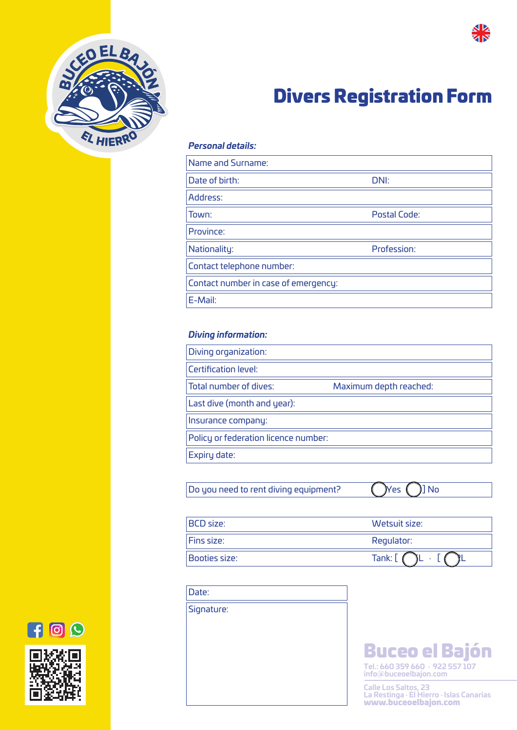



# Divers Registration Form

# *Personal details:*

| Name and Surname:                    |              |
|--------------------------------------|--------------|
| Date of birth:                       | DNI:         |
| Address:                             |              |
| Town:                                | Postal Code: |
| Province:                            |              |
| Nationality:                         | Profession:  |
| Contact telephone number:            |              |
| Contact number in case of emergency: |              |
| E-Mail:                              |              |

# *Diving information:*

| Diving organization:                 |                        |
|--------------------------------------|------------------------|
| <b>Certification level:</b>          |                        |
| Total number of dives:               | Maximum depth reached: |
| Last dive (month and year):          |                        |
| Insurance company:                   |                        |
| Policy or federation licence number: |                        |
| Expiry date:                         |                        |

Do you need to rent diving equipment?  $\bigcap$ Yes  $\bigcap$ ] No

| <b>BCD</b> size: | Wetsuit size: |
|------------------|---------------|
| Fins size:       | Regulator:    |
| Booties size:    | Tank:         |

| Date:      |  |
|------------|--|
| Signature: |  |
|            |  |

**Tel.: 660 359 660 · 922 557 107 info@buceoelbajon.com** Buceo el Bajón

**Calle Los Saltos, 23 La Restinga · El Hierro · Islas Canarias** www.buceoelbajon.com